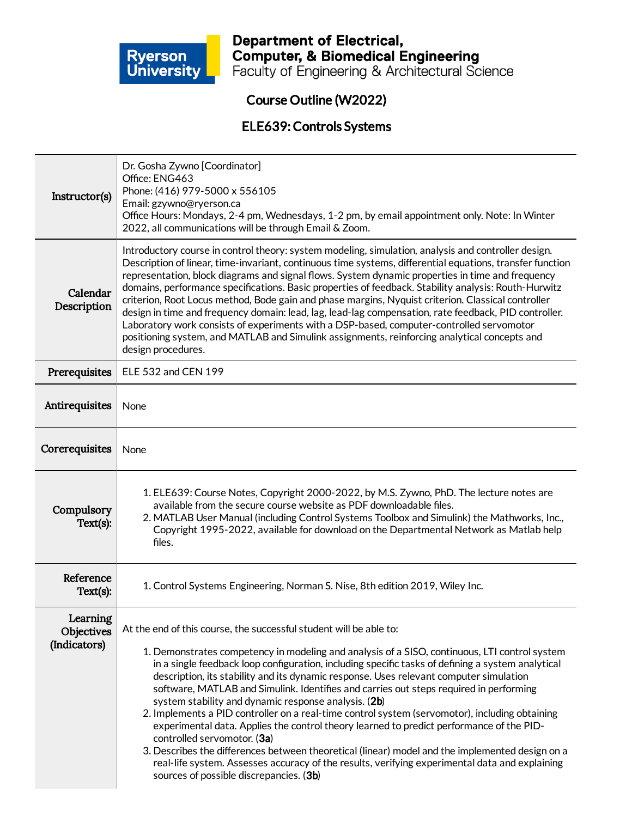

**Department of Electrical,<br>Computer, & Biomedical Engineering<br>Faculty of Engineering & Architectural Science** 

## Course Outline (W2022)

#### ELE639:Controls Systems

| Instructor(s)                          | Dr. Gosha Zywno [Coordinator]<br>Office: ENG463<br>Phone: (416) 979-5000 x 556105<br>Email: gzywno@ryerson.ca<br>Office Hours: Mondays, 2-4 pm, Wednesdays, 1-2 pm, by email appointment only. Note: In Winter<br>2022, all communications will be through Email & Zoom.                                                                                                                                                                                                                                                                                                                                                                                                                                                                                                                                                                                                                                                                                                                          |  |
|----------------------------------------|---------------------------------------------------------------------------------------------------------------------------------------------------------------------------------------------------------------------------------------------------------------------------------------------------------------------------------------------------------------------------------------------------------------------------------------------------------------------------------------------------------------------------------------------------------------------------------------------------------------------------------------------------------------------------------------------------------------------------------------------------------------------------------------------------------------------------------------------------------------------------------------------------------------------------------------------------------------------------------------------------|--|
| Calendar<br>Description                | Introductory course in control theory: system modeling, simulation, analysis and controller design.<br>Description of linear, time-invariant, continuous time systems, differential equations, transfer function<br>representation, block diagrams and signal flows. System dynamic properties in time and frequency<br>domains, performance specifications. Basic properties of feedback. Stability analysis: Routh-Hurwitz<br>criterion, Root Locus method, Bode gain and phase margins, Nyquist criterion. Classical controller<br>design in time and frequency domain: lead, lag, lead-lag compensation, rate feedback, PID controller.<br>Laboratory work consists of experiments with a DSP-based, computer-controlled servomotor<br>positioning system, and MATLAB and Simulink assignments, reinforcing analytical concepts and<br>design procedures.                                                                                                                                     |  |
| Prerequisites                          | ELE 532 and CEN 199                                                                                                                                                                                                                                                                                                                                                                                                                                                                                                                                                                                                                                                                                                                                                                                                                                                                                                                                                                               |  |
| Antirequisites                         | None                                                                                                                                                                                                                                                                                                                                                                                                                                                                                                                                                                                                                                                                                                                                                                                                                                                                                                                                                                                              |  |
| Corerequisites                         | None                                                                                                                                                                                                                                                                                                                                                                                                                                                                                                                                                                                                                                                                                                                                                                                                                                                                                                                                                                                              |  |
| Compulsory<br>Text(s):                 | 1. ELE639: Course Notes, Copyright 2000-2022, by M.S. Zywno, PhD. The lecture notes are<br>available from the secure course website as PDF downloadable files.<br>2. MATLAB User Manual (including Control Systems Toolbox and Simulink) the Mathworks, Inc.,<br>Copyright 1995-2022, available for download on the Departmental Network as Matlab help<br>files.                                                                                                                                                                                                                                                                                                                                                                                                                                                                                                                                                                                                                                 |  |
| Reference<br>Text(s):                  | 1. Control Systems Engineering, Norman S. Nise, 8th edition 2019, Wiley Inc.                                                                                                                                                                                                                                                                                                                                                                                                                                                                                                                                                                                                                                                                                                                                                                                                                                                                                                                      |  |
| Learning<br>Objectives<br>(Indicators) | At the end of this course, the successful student will be able to:<br>1. Demonstrates competency in modeling and analysis of a SISO, continuous, LTI control system<br>in a single feedback loop configuration, including specific tasks of defining a system analytical<br>description, its stability and its dynamic response. Uses relevant computer simulation<br>software, MATLAB and Simulink. Identifies and carries out steps required in performing<br>system stability and dynamic response analysis. (2b)<br>2. Implements a PID controller on a real-time control system (servomotor), including obtaining<br>experimental data. Applies the control theory learned to predict performance of the PID-<br>controlled servomotor. (3a)<br>3. Describes the differences between theoretical (linear) model and the implemented design on a<br>real-life system. Assesses accuracy of the results, verifying experimental data and explaining<br>sources of possible discrepancies. (3b) |  |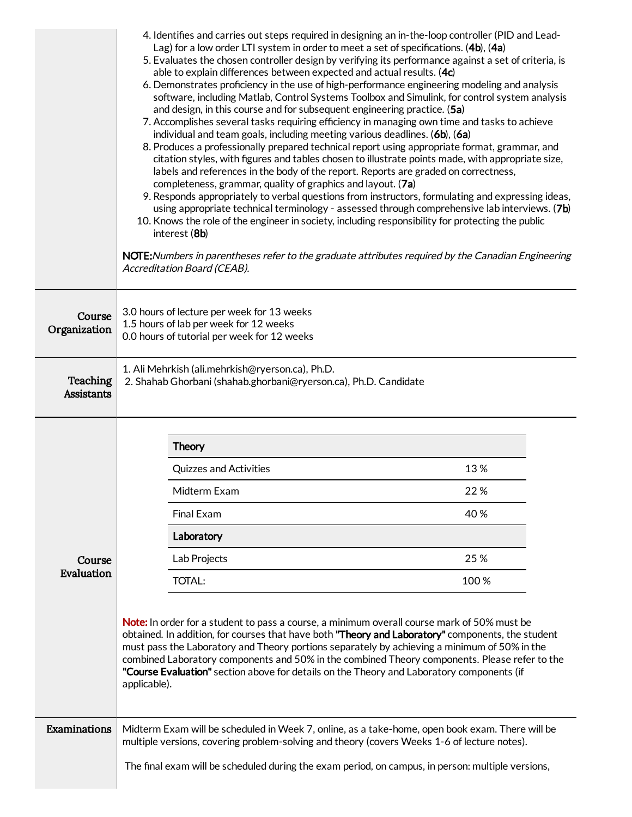|                               | 4. Identifies and carries out steps required in designing an in-the-loop controller (PID and Lead-<br>Lag) for a low order LTI system in order to meet a set of specifications. (4b), (4a)<br>5. Evaluates the chosen controller design by verifying its performance against a set of criteria, is<br>able to explain differences between expected and actual results. (4c)<br>6. Demonstrates proficiency in the use of high-performance engineering modeling and analysis<br>software, including Matlab, Control Systems Toolbox and Simulink, for control system analysis<br>and design, in this course and for subsequent engineering practice. (5a)<br>7. Accomplishes several tasks requiring efficiency in managing own time and tasks to achieve<br>individual and team goals, including meeting various deadlines. (6b), (6a)<br>8. Produces a professionally prepared technical report using appropriate format, grammar, and<br>citation styles, with figures and tables chosen to illustrate points made, with appropriate size,<br>labels and references in the body of the report. Reports are graded on correctness,<br>completeness, grammar, quality of graphics and layout. (7a)<br>9. Responds appropriately to verbal questions from instructors, formulating and expressing ideas,<br>using appropriate technical terminology - assessed through comprehensive lab interviews. (7b)<br>10. Knows the role of the engineer in society, including responsibility for protecting the public<br>interest (8b)<br>NOTE: Numbers in parentheses refer to the graduate attributes required by the Canadian Engineering<br>Accreditation Board (CEAB). |      |  |
|-------------------------------|---------------------------------------------------------------------------------------------------------------------------------------------------------------------------------------------------------------------------------------------------------------------------------------------------------------------------------------------------------------------------------------------------------------------------------------------------------------------------------------------------------------------------------------------------------------------------------------------------------------------------------------------------------------------------------------------------------------------------------------------------------------------------------------------------------------------------------------------------------------------------------------------------------------------------------------------------------------------------------------------------------------------------------------------------------------------------------------------------------------------------------------------------------------------------------------------------------------------------------------------------------------------------------------------------------------------------------------------------------------------------------------------------------------------------------------------------------------------------------------------------------------------------------------------------------------------------------------------------------------------------------------------------------------------|------|--|
| Course<br>Organization        | 3.0 hours of lecture per week for 13 weeks<br>1.5 hours of lab per week for 12 weeks<br>0.0 hours of tutorial per week for 12 weeks                                                                                                                                                                                                                                                                                                                                                                                                                                                                                                                                                                                                                                                                                                                                                                                                                                                                                                                                                                                                                                                                                                                                                                                                                                                                                                                                                                                                                                                                                                                                 |      |  |
| Teaching<br><b>Assistants</b> | 1. Ali Mehrkish (ali.mehrkish@ryerson.ca), Ph.D.<br>2. Shahab Ghorbani (shahab.ghorbani@ryerson.ca), Ph.D. Candidate                                                                                                                                                                                                                                                                                                                                                                                                                                                                                                                                                                                                                                                                                                                                                                                                                                                                                                                                                                                                                                                                                                                                                                                                                                                                                                                                                                                                                                                                                                                                                |      |  |
|                               | <b>Theory</b>                                                                                                                                                                                                                                                                                                                                                                                                                                                                                                                                                                                                                                                                                                                                                                                                                                                                                                                                                                                                                                                                                                                                                                                                                                                                                                                                                                                                                                                                                                                                                                                                                                                       |      |  |
|                               | <b>Quizzes and Activities</b>                                                                                                                                                                                                                                                                                                                                                                                                                                                                                                                                                                                                                                                                                                                                                                                                                                                                                                                                                                                                                                                                                                                                                                                                                                                                                                                                                                                                                                                                                                                                                                                                                                       | 13%  |  |
|                               | Midterm Exam                                                                                                                                                                                                                                                                                                                                                                                                                                                                                                                                                                                                                                                                                                                                                                                                                                                                                                                                                                                                                                                                                                                                                                                                                                                                                                                                                                                                                                                                                                                                                                                                                                                        | 22%  |  |
|                               | Final Exam                                                                                                                                                                                                                                                                                                                                                                                                                                                                                                                                                                                                                                                                                                                                                                                                                                                                                                                                                                                                                                                                                                                                                                                                                                                                                                                                                                                                                                                                                                                                                                                                                                                          | 40 % |  |
|                               | Laboratory                                                                                                                                                                                                                                                                                                                                                                                                                                                                                                                                                                                                                                                                                                                                                                                                                                                                                                                                                                                                                                                                                                                                                                                                                                                                                                                                                                                                                                                                                                                                                                                                                                                          |      |  |
| Course                        | Lab Projects                                                                                                                                                                                                                                                                                                                                                                                                                                                                                                                                                                                                                                                                                                                                                                                                                                                                                                                                                                                                                                                                                                                                                                                                                                                                                                                                                                                                                                                                                                                                                                                                                                                        | 25 % |  |
| Evaluation                    | <b>TOTAL:</b>                                                                                                                                                                                                                                                                                                                                                                                                                                                                                                                                                                                                                                                                                                                                                                                                                                                                                                                                                                                                                                                                                                                                                                                                                                                                                                                                                                                                                                                                                                                                                                                                                                                       | 100% |  |
|                               | Note: In order for a student to pass a course, a minimum overall course mark of 50% must be<br>obtained. In addition, for courses that have both "Theory and Laboratory" components, the student<br>must pass the Laboratory and Theory portions separately by achieving a minimum of 50% in the<br>combined Laboratory components and 50% in the combined Theory components. Please refer to the<br>"Course Evaluation" section above for details on the Theory and Laboratory components (if<br>applicable).                                                                                                                                                                                                                                                                                                                                                                                                                                                                                                                                                                                                                                                                                                                                                                                                                                                                                                                                                                                                                                                                                                                                                      |      |  |
| Examinations                  | Midterm Exam will be scheduled in Week 7, online, as a take-home, open book exam. There will be<br>multiple versions, covering problem-solving and theory (covers Weeks 1-6 of lecture notes).<br>The final exam will be scheduled during the exam period, on campus, in person: multiple versions,                                                                                                                                                                                                                                                                                                                                                                                                                                                                                                                                                                                                                                                                                                                                                                                                                                                                                                                                                                                                                                                                                                                                                                                                                                                                                                                                                                 |      |  |
|                               |                                                                                                                                                                                                                                                                                                                                                                                                                                                                                                                                                                                                                                                                                                                                                                                                                                                                                                                                                                                                                                                                                                                                                                                                                                                                                                                                                                                                                                                                                                                                                                                                                                                                     |      |  |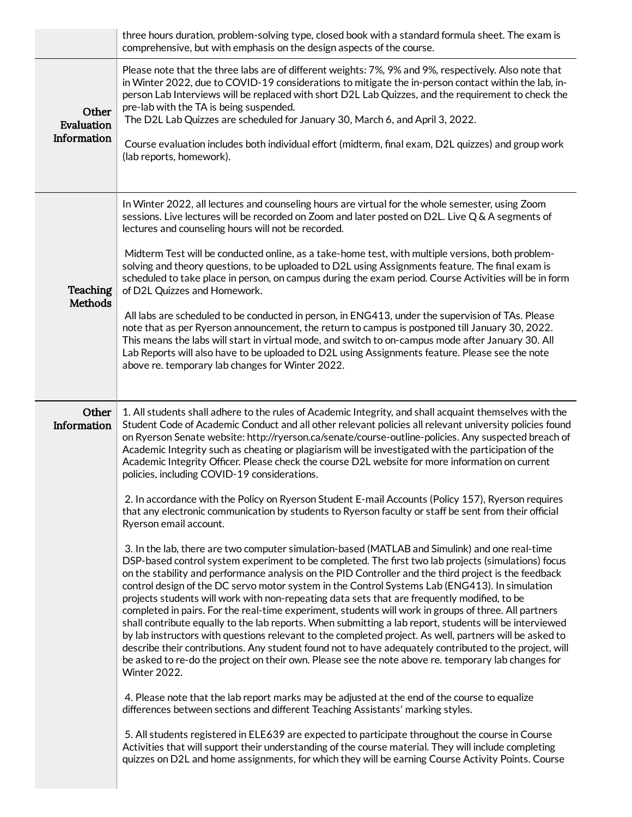|                                    | three hours duration, problem-solving type, closed book with a standard formula sheet. The exam is<br>comprehensive, but with emphasis on the design aspects of the course.                                                                                                                                                                                                                                                                                                                                                                                                                                                                                                                                                                                                                                                                                                                                                                                                                                                                                                                                                                                                                                                                                                                                                                                                                                                                                                                                                                                                                                                                                                                                                                                                                                                                                                                                                                                                                                                                                                                                                                                                                                                                                                                                                                                                                                                       |
|------------------------------------|-----------------------------------------------------------------------------------------------------------------------------------------------------------------------------------------------------------------------------------------------------------------------------------------------------------------------------------------------------------------------------------------------------------------------------------------------------------------------------------------------------------------------------------------------------------------------------------------------------------------------------------------------------------------------------------------------------------------------------------------------------------------------------------------------------------------------------------------------------------------------------------------------------------------------------------------------------------------------------------------------------------------------------------------------------------------------------------------------------------------------------------------------------------------------------------------------------------------------------------------------------------------------------------------------------------------------------------------------------------------------------------------------------------------------------------------------------------------------------------------------------------------------------------------------------------------------------------------------------------------------------------------------------------------------------------------------------------------------------------------------------------------------------------------------------------------------------------------------------------------------------------------------------------------------------------------------------------------------------------------------------------------------------------------------------------------------------------------------------------------------------------------------------------------------------------------------------------------------------------------------------------------------------------------------------------------------------------------------------------------------------------------------------------------------------------|
| Other<br>Evaluation<br>Information | Please note that the three labs are of different weights: 7%, 9% and 9%, respectively. Also note that<br>in Winter 2022, due to COVID-19 considerations to mitigate the in-person contact within the lab, in-<br>person Lab Interviews will be replaced with short D2L Lab Quizzes, and the requirement to check the<br>pre-lab with the TA is being suspended.<br>The D2L Lab Quizzes are scheduled for January 30, March 6, and April 3, 2022.<br>Course evaluation includes both individual effort (midterm, final exam, D2L quizzes) and group work<br>(lab reports, homework).                                                                                                                                                                                                                                                                                                                                                                                                                                                                                                                                                                                                                                                                                                                                                                                                                                                                                                                                                                                                                                                                                                                                                                                                                                                                                                                                                                                                                                                                                                                                                                                                                                                                                                                                                                                                                                               |
| Teaching<br><b>Methods</b>         | In Winter 2022, all lectures and counseling hours are virtual for the whole semester, using Zoom<br>sessions. Live lectures will be recorded on Zoom and later posted on D2L. Live Q & A segments of<br>lectures and counseling hours will not be recorded.<br>Midterm Test will be conducted online, as a take-home test, with multiple versions, both problem-<br>solving and theory questions, to be uploaded to D2L using Assignments feature. The final exam is<br>scheduled to take place in person, on campus during the exam period. Course Activities will be in form<br>of D2L Quizzes and Homework.<br>All labs are scheduled to be conducted in person, in ENG413, under the supervision of TAs. Please<br>note that as per Ryerson announcement, the return to campus is postponed till January 30, 2022.<br>This means the labs will start in virtual mode, and switch to on-campus mode after January 30. All<br>Lab Reports will also have to be uploaded to D2L using Assignments feature. Please see the note<br>above re. temporary lab changes for Winter 2022.                                                                                                                                                                                                                                                                                                                                                                                                                                                                                                                                                                                                                                                                                                                                                                                                                                                                                                                                                                                                                                                                                                                                                                                                                                                                                                                                               |
| Other<br>Information               | 1. All students shall adhere to the rules of Academic Integrity, and shall acquaint themselves with the<br>Student Code of Academic Conduct and all other relevant policies all relevant university policies found<br>on Ryerson Senate website: http://ryerson.ca/senate/course-outline-policies. Any suspected breach of<br>Academic Integrity such as cheating or plagiarism will be investigated with the participation of the<br>Academic Integrity Officer. Please check the course D2L website for more information on current<br>policies, including COVID-19 considerations.<br>2. In accordance with the Policy on Ryerson Student E-mail Accounts (Policy 157), Ryerson requires<br>that any electronic communication by students to Ryerson faculty or staff be sent from their official<br>Ryerson email account.<br>3. In the lab, there are two computer simulation-based (MATLAB and Simulink) and one real-time<br>DSP-based control system experiment to be completed. The first two lab projects (simulations) focus<br>on the stability and performance analysis on the PID Controller and the third project is the feedback<br>control design of the DC servo motor system in the Control Systems Lab (ENG413). In simulation<br>projects students will work with non-repeating data sets that are frequently modified, to be<br>completed in pairs. For the real-time experiment, students will work in groups of three. All partners<br>shall contribute equally to the lab reports. When submitting a lab report, students will be interviewed<br>by lab instructors with questions relevant to the completed project. As well, partners will be asked to<br>describe their contributions. Any student found not to have adequately contributed to the project, will<br>be asked to re-do the project on their own. Please see the note above re. temporary lab changes for<br><b>Winter 2022.</b><br>4. Please note that the lab report marks may be adjusted at the end of the course to equalize<br>differences between sections and different Teaching Assistants' marking styles.<br>5. All students registered in ELE639 are expected to participate throughout the course in Course<br>Activities that will support their understanding of the course material. They will include completing<br>quizzes on D2L and home assignments, for which they will be earning Course Activity Points. Course |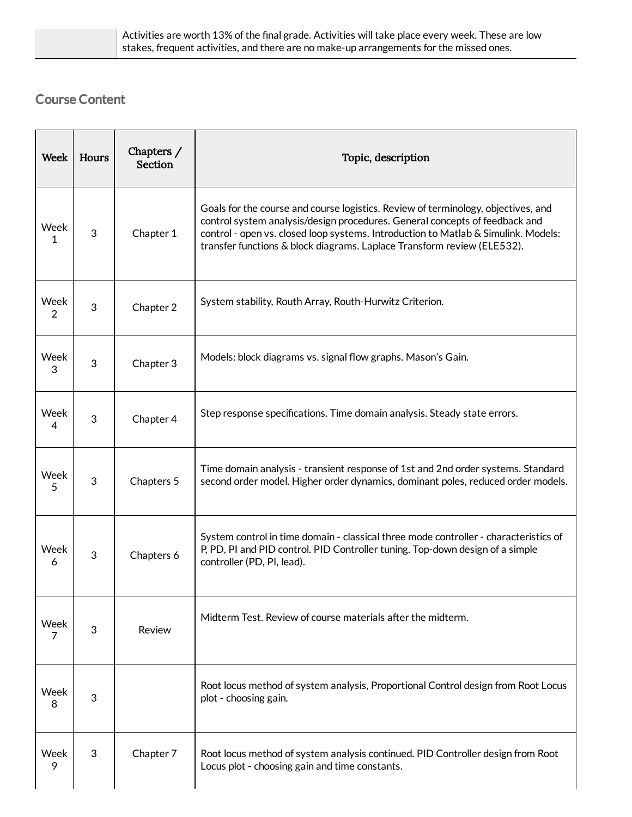| Activities are worth 13% of the final grade. Activities will take place every week. These are low |
|---------------------------------------------------------------------------------------------------|
| stakes, frequent activities, and there are no make-up arrangements for the missed ones.           |

# Course Content

| Week      | Hours      | Chapters /<br>Section | Topic, description                                                                                                                                                                                                                                                                                                                |
|-----------|------------|-----------------------|-----------------------------------------------------------------------------------------------------------------------------------------------------------------------------------------------------------------------------------------------------------------------------------------------------------------------------------|
| Week<br>1 | 3          | Chapter 1             | Goals for the course and course logistics. Review of terminology, objectives, and<br>control system analysis/design procedures. General concepts of feedback and<br>control - open vs. closed loop systems. Introduction to Matlab & Simulink. Models:<br>transfer functions & block diagrams. Laplace Transform review (ELE532). |
| Week<br>2 | $\sqrt{3}$ | Chapter 2             | System stability, Routh Array, Routh-Hurwitz Criterion.                                                                                                                                                                                                                                                                           |
| Week<br>3 | 3          | Chapter 3             | Models: block diagrams vs. signal flow graphs. Mason's Gain.                                                                                                                                                                                                                                                                      |
| Week<br>4 | $\sqrt{3}$ | Chapter 4             | Step response specifications. Time domain analysis. Steady state errors.                                                                                                                                                                                                                                                          |
| Week<br>5 | $\sqrt{3}$ | Chapters 5            | Time domain analysis - transient response of 1st and 2nd order systems. Standard<br>second order model. Higher order dynamics, dominant poles, reduced order models.                                                                                                                                                              |
| Week<br>6 | $\sqrt{3}$ | Chapters 6            | System control in time domain - classical three mode controller - characteristics of<br>P, PD, PI and PID control. PID Controller tuning. Top-down design of a simple<br>controller (PD, PI, lead).                                                                                                                               |
| Week<br>7 | $\sqrt{3}$ | Review                | Midterm Test. Review of course materials after the midterm.                                                                                                                                                                                                                                                                       |
| Week<br>8 | 3          |                       | Root locus method of system analysis, Proportional Control design from Root Locus<br>plot - choosing gain.                                                                                                                                                                                                                        |
| Week<br>9 | 3          | Chapter 7             | Root locus method of system analysis continued. PID Controller design from Root<br>Locus plot - choosing gain and time constants.                                                                                                                                                                                                 |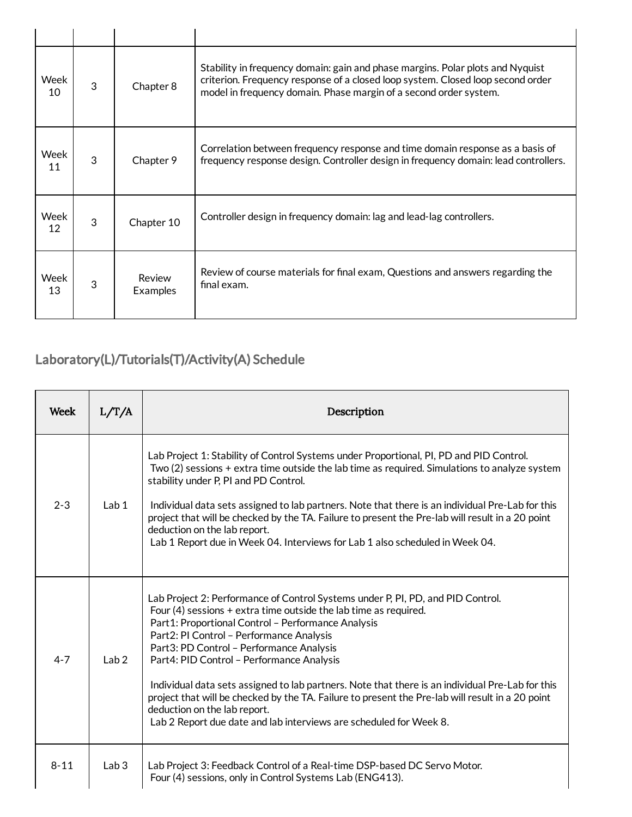| Week<br>10 | 3 | Chapter 8          | Stability in frequency domain: gain and phase margins. Polar plots and Nyquist<br>criterion. Frequency response of a closed loop system. Closed loop second order<br>model in frequency domain. Phase margin of a second order system. |
|------------|---|--------------------|----------------------------------------------------------------------------------------------------------------------------------------------------------------------------------------------------------------------------------------|
| Week<br>11 | 3 | Chapter 9          | Correlation between frequency response and time domain response as a basis of<br>frequency response design. Controller design in frequency domain: lead controllers.                                                                   |
| Week<br>12 | 3 | Chapter 10         | Controller design in frequency domain: lag and lead-lag controllers.                                                                                                                                                                   |
| Week<br>13 | 3 | Review<br>Examples | Review of course materials for final exam, Questions and answers regarding the<br>final exam.                                                                                                                                          |

# Laboratory(L)/Tutorials(T)/Activity(A) Schedule

| Week     | L/T/A            | Description                                                                                                                                                                                                                                                                                                                                                                                                                                                                                                                                                                                                                                                    |
|----------|------------------|----------------------------------------------------------------------------------------------------------------------------------------------------------------------------------------------------------------------------------------------------------------------------------------------------------------------------------------------------------------------------------------------------------------------------------------------------------------------------------------------------------------------------------------------------------------------------------------------------------------------------------------------------------------|
| $2 - 3$  | Lab <sub>1</sub> | Lab Project 1: Stability of Control Systems under Proportional, PI, PD and PID Control.<br>Two (2) sessions + extra time outside the lab time as required. Simulations to analyze system<br>stability under P, PI and PD Control.<br>Individual data sets assigned to lab partners. Note that there is an individual Pre-Lab for this<br>project that will be checked by the TA. Failure to present the Pre-lab will result in a 20 point<br>deduction on the lab report.<br>Lab 1 Report due in Week 04. Interviews for Lab 1 also scheduled in Week 04.                                                                                                      |
| $4 - 7$  | Lab <sub>2</sub> | Lab Project 2: Performance of Control Systems under P, PI, PD, and PID Control.<br>Four $(4)$ sessions + extra time outside the lab time as required.<br>Part1: Proportional Control - Performance Analysis<br>Part2: PI Control - Performance Analysis<br>Part3: PD Control - Performance Analysis<br>Part4: PID Control - Performance Analysis<br>Individual data sets assigned to lab partners. Note that there is an individual Pre-Lab for this<br>project that will be checked by the TA. Failure to present the Pre-lab will result in a 20 point<br>deduction on the lab report.<br>Lab 2 Report due date and lab interviews are scheduled for Week 8. |
| $8 - 11$ | Lab <sub>3</sub> | Lab Project 3: Feedback Control of a Real-time DSP-based DC Servo Motor.<br>Four (4) sessions, only in Control Systems Lab (ENG413).                                                                                                                                                                                                                                                                                                                                                                                                                                                                                                                           |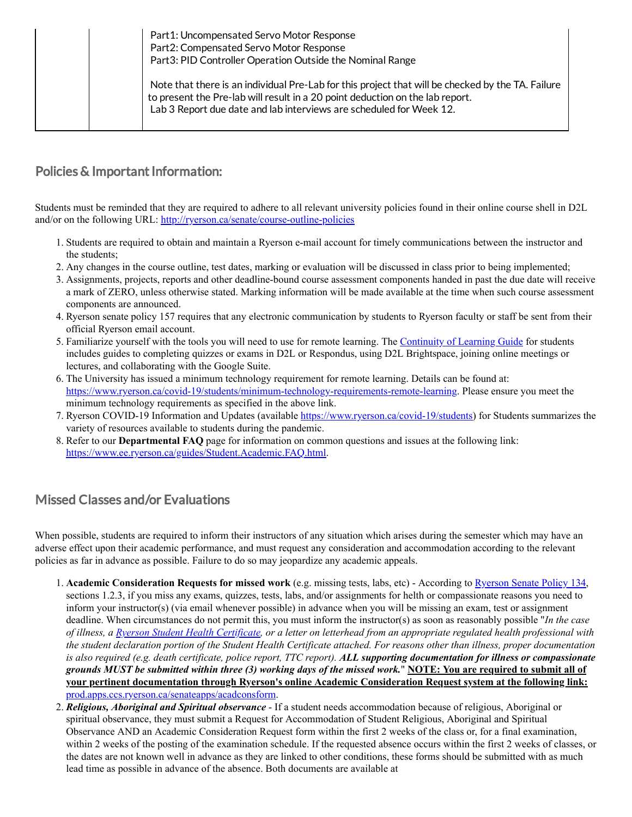| Part1: Uncompensated Servo Motor Response<br>Part2: Compensated Servo Motor Response<br>Part3: PID Controller Operation Outside the Nominal Range                                                                                                         |
|-----------------------------------------------------------------------------------------------------------------------------------------------------------------------------------------------------------------------------------------------------------|
| Note that there is an individual Pre-Lab for this project that will be checked by the TA. Failure<br>to present the Pre-lab will result in a 20 point deduction on the lab report.<br>Lab 3 Report due date and lab interviews are scheduled for Week 12. |

#### Policies & Important Information:

Students must be reminded that they are required to adhere to all relevant university policies found in their online course shell in D2L and/or on the following URL: <http://ryerson.ca/senate/course-outline-policies>

- 1. Students are required to obtain and maintain a Ryerson e-mail account for timely communications between the instructor and the students;
- 2. Any changes in the course outline, test dates, marking or evaluation will be discussed in class prior to being implemented;
- 3. Assignments, projects, reports and other deadline-bound course assessment components handed in past the due date will receive a mark of ZERO, unless otherwise stated. Marking information will be made available at the time when such course assessment components are announced.
- 4. Ryerson senate policy 157 requires that any electronic communication by students to Ryerson faculty or staff be sent from their official Ryerson email account.
- 5. Familiarize yourself with the tools you will need to use for remote learning. The [Continuity](https://www.ryerson.ca/centre-for-excellence-in-learning-and-teaching/learning-guide/) of Learning Guide for students includes guides to completing quizzes or exams in D2L or Respondus, using D2L Brightspace, joining online meetings or lectures, and collaborating with the Google Suite.
- 6. The University has issued a minimum technology requirement for remote learning. Details can be found at: [https://www.ryerson.ca/covid-19/students/minimum-technology-requirements-remote-learning.](https://www.ryerson.ca/covid-19/students/minimum-technology-requirements-remote-learning) Please ensure you meet the minimum technology requirements as specified in the above link.
- 7. Ryerson COVID-19 Information and Updates (available [https://www.ryerson.ca/covid-19/students](https://www.ryerson.ca/covid-19/students/)) for Students summarizes the variety of resources available to students during the pandemic.
- 8. Refer to our **Departmental FAQ** page for information on common questions and issues at the following link: <https://www.ee.ryerson.ca/guides/Student.Academic.FAQ.html>.

#### Missed Classes and/or Evaluations

When possible, students are required to inform their instructors of any situation which arises during the semester which may have an adverse effect upon their academic performance, and must request any consideration and accommodation according to the relevant policies as far in advance as possible. Failure to do so may jeopardize any academic appeals.

- 1. **Academic Consideration Requests for missed work** (e.g. missing tests, labs, etc) According to [Ryerson](https://www.ryerson.ca/senate/policies/pol134.pdf) Senate Policy 134, sections 1.2.3, if you miss any exams, quizzes, tests, labs, and/or assignments for helth or compassionate reasons you need to inform your instructor(s) (via email whenever possible) in advance when you will be missing an exam, test or assignment deadline. When circumstances do not permit this, you must inform the instructor(s) as soon as reasonably possible "*In the case* of illness, a Ryerson Student Health [Certificate](http://www.ryerson.ca/senate/forms/medical.pdf), or a letter on letterhead from an appropriate regulated health professional with the student declaration portion of the Student Health Certificate attached. For reasons other than illness, proper documentation is also required (e.g. death certificate, police report, TTC report). ALL supporting documentation for illness or compassionate grounds MUST be submitted within three (3) working days of the missed work." NOTE: You are required to submit all of **your pertinent documentation through Ryerson's online Academic Consideration Request system at the following link:** [prod.apps.ccs.ryerson.ca/senateapps/acadconsform](https://prod.apps.ccs.ryerson.ca/senateapps/acadconsform).
- 2. *Religious, Aboriginal and Spiritual observance* If a student needs accommodation because of religious, Aboriginal or spiritual observance, they must submit a Request for Accommodation of Student Religious, Aboriginal and Spiritual Observance AND an Academic Consideration Request form within the first 2 weeks of the class or, for a final examination, within 2 weeks of the posting of the examination schedule. If the requested absence occurs within the first 2 weeks of classes, or the dates are not known well in advance as they are linked to other conditions, these forms should be submitted with as much lead time as possible in advance of the absence. Both documents are available at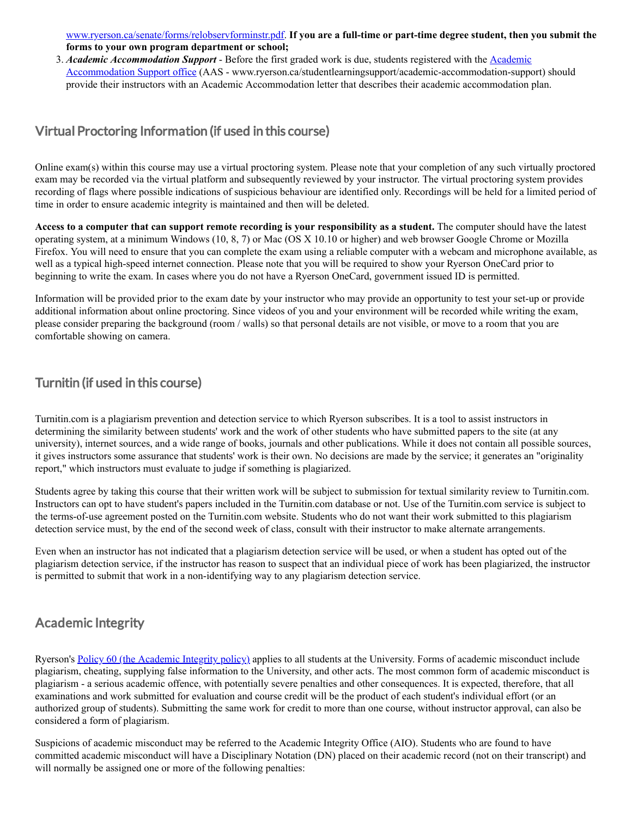[www.ryerson.ca/senate/forms/relobservforminstr.pdf.](https://www.ryerson.ca/senate/forms/relobservforminstr.pdf) **If you are a full-time or part-time degree student, then you submit the forms to your own program department or school;**

3. *Academic Accommodation Support* - Before the first graded work is due, students registered with the Academic Accommodation Support office (AAS - [www.ryerson.ca/studentlearningsupport/academic-accommodation-suppo](https://www.ryerson.ca/studentlearningsupport/academic-accommodation-support/)rt) should provide their instructors with an Academic Accommodation letter that describes their academic accommodation plan.

#### Virtual Proctoring Information (if used in this course)

Online exam(s) within this course may use a virtual proctoring system. Please note that your completion of any such virtually proctored exam may be recorded via the virtual platform and subsequently reviewed by your instructor. The virtual proctoring system provides recording of flags where possible indications of suspicious behaviour are identified only. Recordings will be held for a limited period of time in order to ensure academic integrity is maintained and then will be deleted.

Access to a computer that can support remote recording is your responsibility as a student. The computer should have the latest operating system, at a minimum Windows (10, 8, 7) or Mac (OS X 10.10 or higher) and web browser Google Chrome or Mozilla Firefox. You will need to ensure that you can complete the exam using a reliable computer with a webcam and microphone available, as well as a typical high-speed internet connection. Please note that you will be required to show your Ryerson OneCard prior to beginning to write the exam. In cases where you do not have a Ryerson OneCard, government issued ID is permitted.

Information will be provided prior to the exam date by your instructor who may provide an opportunity to test your set-up or provide additional information about online proctoring. Since videos of you and your environment will be recorded while writing the exam, please consider preparing the background (room / walls) so that personal details are not visible, or move to a room that you are comfortable showing on camera.

#### Turnitin (if used in this course)

Turnitin.com is a plagiarism prevention and detection service to which Ryerson subscribes. It is a tool to assist instructors in determining the similarity between students' work and the work of other students who have submitted papers to the site (at any university), internet sources, and a wide range of books, journals and other publications. While it does not contain all possible sources, it gives instructors some assurance that students' work is their own. No decisions are made by the service; it generates an "originality report," which instructors must evaluate to judge if something is plagiarized.

Students agree by taking this course that their written work will be subject to submission for textual similarity review to Turnitin.com. Instructors can opt to have student's papers included in the Turnitin.com database or not. Use of the Turnitin.com service is subject to the terms-of-use agreement posted on the Turnitin.com website. Students who do not want their work submitted to this plagiarism detection service must, by the end of the second week of class, consult with their instructor to make alternate arrangements.

Even when an instructor has not indicated that a plagiarism detection service will be used, or when a student has opted out of the plagiarism detection service, if the instructor has reason to suspect that an individual piece of work has been plagiarized, the instructor is permitted to submit that work in a non-identifying way to any plagiarism detection service.

### Academic Integrity

Ryerson's Policy 60 (the [Academic](https://www.ryerson.ca/senate/policies/pol60.pdf) Integrity policy) applies to all students at the University. Forms of academic misconduct include plagiarism, cheating, supplying false information to the University, and other acts. The most common form of academic misconduct is plagiarism - a serious academic offence, with potentially severe penalties and other consequences. It is expected, therefore, that all examinations and work submitted for evaluation and course credit will be the product of each student's individual effort (or an authorized group of students). Submitting the same work for credit to more than one course, without instructor approval, can also be considered a form of plagiarism.

Suspicions of academic misconduct may be referred to the Academic Integrity Office (AIO). Students who are found to have committed academic misconduct will have a Disciplinary Notation (DN) placed on their academic record (not on their transcript) and will normally be assigned one or more of the following penalties: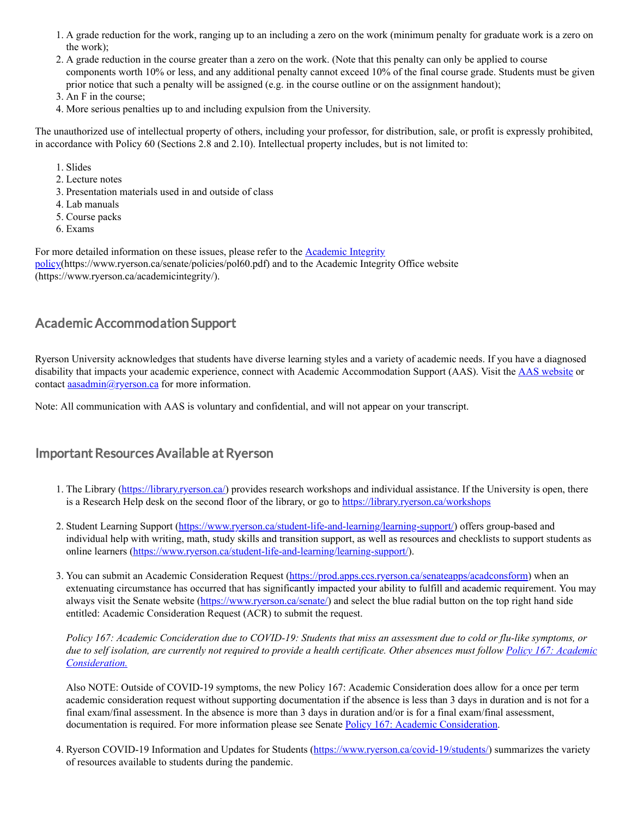- 1. A grade reduction for the work, ranging up to an including a zero on the work (minimum penalty for graduate work is a zero on the work);
- 2. A grade reduction in the course greater than a zero on the work. (Note that this penalty can only be applied to course components worth 10% or less, and any additional penalty cannot exceed 10% of the final course grade. Students must be given prior notice that such a penalty will be assigned (e.g. in the course outline or on the assignment handout);
- 3. An F in the course;
- 4. More serious penalties up to and including expulsion from the University.

The unauthorized use of intellectual property of others, including your professor, for distribution, sale, or profit is expressly prohibited, in accordance with Policy 60 (Sections 2.8 and 2.10). Intellectual property includes, but is not limited to:

- 1. Slides
- 2. Lecture notes
- 3. Presentation materials used in and outside of class
- 4. Lab manuals
- 5. Course packs
- 6. Exams

For more detailed information on these issues, please refer to the Academic Integrity [policy\(https://www.ryerson.ca/senate/policies/pol60.pdf\)](https://www.ryerson.ca/senate/policies/pol60.pdf) and to the Academic Integrity Office website (https://www.ryerson.ca/academicintegrity/).

#### Academic Accommodation Support

Ryerson University acknowledges that students have diverse learning styles and a variety of academic needs. If you have a diagnosed disability that impacts your academic experience, connect with Academic Accommodation Support (AAS). Visit the **AAS [website](https://www.ryerson.ca/studentlearningsupport/academic-accommodation-support/)** or contact  $\frac{a}{\text{asadmin}(a)}$  ryerson.ca for more information.

Note: All communication with AAS is voluntary and confidential, and will not appear on your transcript.

#### Important ResourcesAvailable at Ryerson

- 1. The Library ([https://library.ryerson.ca/\)](https://library.ryerson.ca/) provides research workshops and individual assistance. If the University is open, there is a Research Help desk on the second floor of the library, or go to [https://library.ryerson.ca/workshops](https://library.ryerson.ca/workshops/)
- 2. Student Learning Support [\(https://www.ryerson.ca/student-life-and-learning/learning-support/\)](https://www.ryerson.ca/student-life-and-learning/learning-support/) offers group-based and individual help with writing, math, study skills and transition support, as well as resources and checklists to support students as online learners [\(https://www.ryerson.ca/student-life-and-learning/learning-support/\)](https://www.ryerson.ca/student-life-and-learning/learning-support/).
- 3. You can submit an Academic Consideration Request [\(https://prod.apps.ccs.ryerson.ca/senateapps/acadconsform](https://prod.apps.ccs.ryerson.ca/senateapps/acadconsform)) when an extenuating circumstance has occurred that has significantly impacted your ability to fulfill and academic requirement. You may always visit the Senate website ([https://www.ryerson.ca/senate/\)](https://www.ryerson.ca/senate/) and select the blue radial button on the top right hand side entitled: Academic Consideration Request (ACR) to submit the request.

Policy 167: Academic Concideration due to COVID-19: Students that miss an assessment due to cold or flu-like symptoms, or due to self isolation, are currently not required to provide a health certificate. Other absences must follow Policy 167: Academic *[Consideration.](https://www.ryerson.ca/content/dam/senate/policies/pol167.pdf)*

Also NOTE: Outside of COVID-19 symptoms, the new Policy 167: Academic Consideration does allow for a once per term academic consideration request without supporting documentation if the absence is less than 3 days in duration and is not for a final exam/final assessment. In the absence is more than 3 days in duration and/or is for a final exam/final assessment, documentation is required. For more information please see Senate Policy 167: Academic [Consideration](https://www.ryerson.ca/content/dam/senate/policies/pol167.pdf).

4. Ryerson COVID-19 Information and Updates for Students (<https://www.ryerson.ca/covid-19/students/>) summarizes the variety of resources available to students during the pandemic.